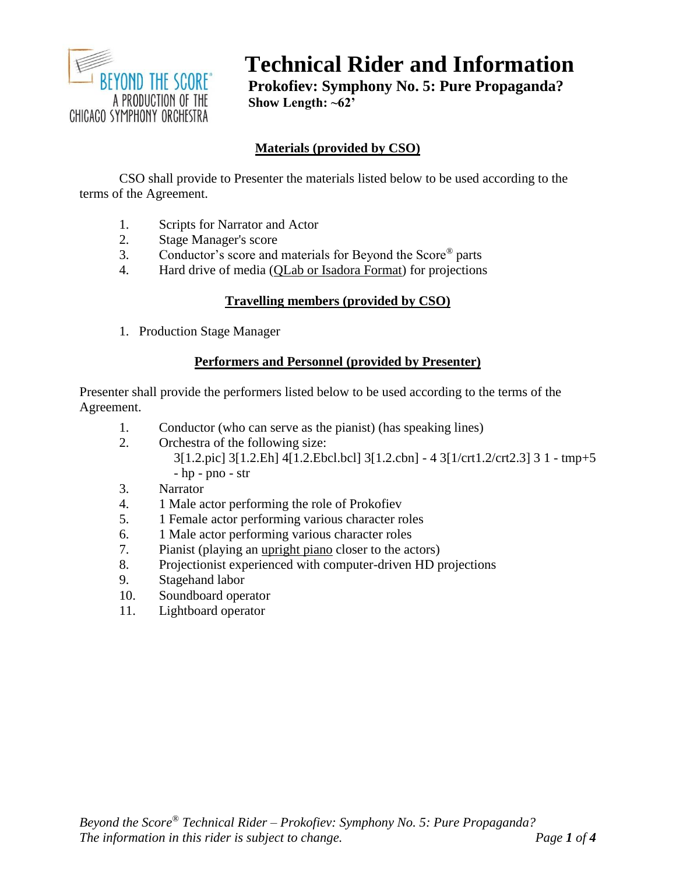

# **Technical Rider and Information**

**Prokofiev: Symphony No. 5: Pure Propaganda? Show Length: ~62'**

# **Materials (provided by CSO)**

CSO shall provide to Presenter the materials listed below to be used according to the terms of the Agreement.

- 1. Scripts for Narrator and Actor
- 2. Stage Manager's score
- 3. Conductor's score and materials for Beyond the Score® parts
- 4. Hard drive of media (QLab or Isadora Format) for projections

# **Travelling members (provided by CSO)**

1. Production Stage Manager

## **Performers and Personnel (provided by Presenter)**

Presenter shall provide the performers listed below to be used according to the terms of the Agreement.

- 1. Conductor (who can serve as the pianist) (has speaking lines)
- 2. Orchestra of the following size:
	- 3[1.2.pic] 3[1.2.Eh] 4[1.2.Ebcl.bcl] 3[1.2.cbn] 4 3[1/crt1.2/crt2.3] 3 1 tmp+5 - hp - pno - str
- 3. Narrator
- 4. 1 Male actor performing the role of Prokofiev
- 5. 1 Female actor performing various character roles
- 6. 1 Male actor performing various character roles
- 7. Pianist (playing an upright piano closer to the actors)
- 8. Projectionist experienced with computer-driven HD projections
- 9. Stagehand labor
- 10. Soundboard operator
- 11. Lightboard operator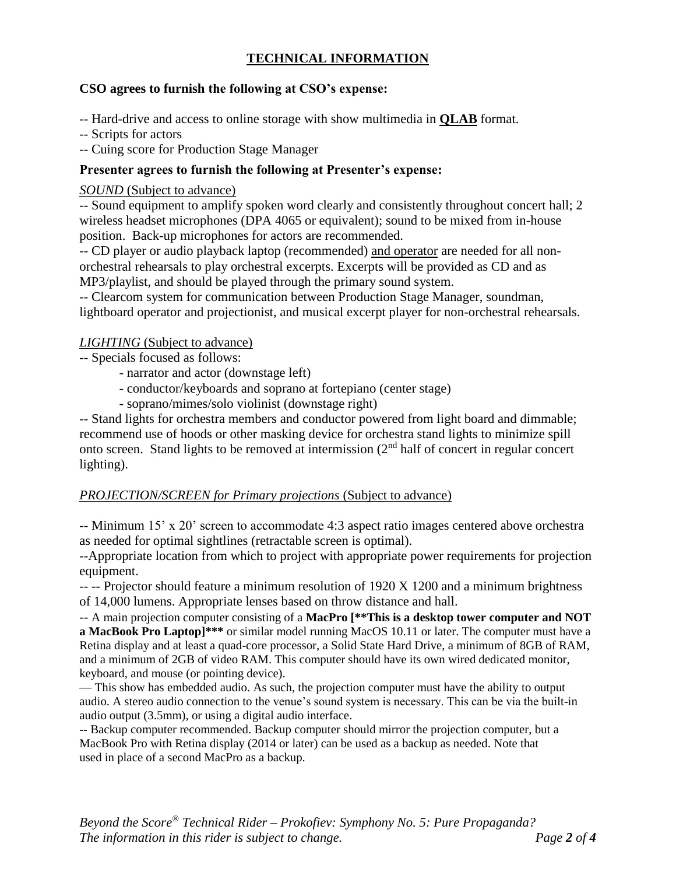# **TECHNICAL INFORMATION**

## **CSO agrees to furnish the following at CSO's expense:**

- -- Hard-drive and access to online storage with show multimedia in **QLAB** format.
- -- Scripts for actors
- -- Cuing score for Production Stage Manager

# **Presenter agrees to furnish the following at Presenter's expense:**

## *SOUND* (Subject to advance)

-- Sound equipment to amplify spoken word clearly and consistently throughout concert hall; 2 wireless headset microphones (DPA 4065 or equivalent); sound to be mixed from in-house position. Back-up microphones for actors are recommended.

-- CD player or audio playback laptop (recommended) and operator are needed for all nonorchestral rehearsals to play orchestral excerpts. Excerpts will be provided as CD and as MP3/playlist, and should be played through the primary sound system.

-- Clearcom system for communication between Production Stage Manager, soundman, lightboard operator and projectionist, and musical excerpt player for non-orchestral rehearsals.

## *LIGHTING* (Subject to advance)

- -- Specials focused as follows:
	- narrator and actor (downstage left)
	- conductor/keyboards and soprano at fortepiano (center stage)
	- soprano/mimes/solo violinist (downstage right)

-- Stand lights for orchestra members and conductor powered from light board and dimmable; recommend use of hoods or other masking device for orchestra stand lights to minimize spill onto screen. Stand lights to be removed at intermission (2nd half of concert in regular concert lighting).

#### *PROJECTION/SCREEN for Primary projections* (Subject to advance)

-- Minimum 15' x 20' screen to accommodate 4:3 aspect ratio images centered above orchestra as needed for optimal sightlines (retractable screen is optimal).

--Appropriate location from which to project with appropriate power requirements for projection equipment.

-- -- Projector should feature a minimum resolution of 1920 X 1200 and a minimum brightness of 14,000 lumens. Appropriate lenses based on throw distance and hall.

-- A main projection computer consisting of a **MacPro [\*\*This is a desktop tower computer and NOT a MacBook Pro Laptop]\*\*\*** or similar model running MacOS 10.11 or later. The computer must have a Retina display and at least a quad-core processor, a Solid State Hard Drive, a minimum of 8GB of RAM, and a minimum of 2GB of video RAM. This computer should have its own wired dedicated monitor, keyboard, and mouse (or pointing device).

— This show has embedded audio. As such, the projection computer must have the ability to output audio. A stereo audio connection to the venue's sound system is necessary. This can be via the built-in audio output (3.5mm), or using a digital audio interface.

-- Backup computer recommended. Backup computer should mirror the projection computer, but a MacBook Pro with Retina display (2014 or later) can be used as a backup as needed. Note that used in place of a second MacPro as a backup.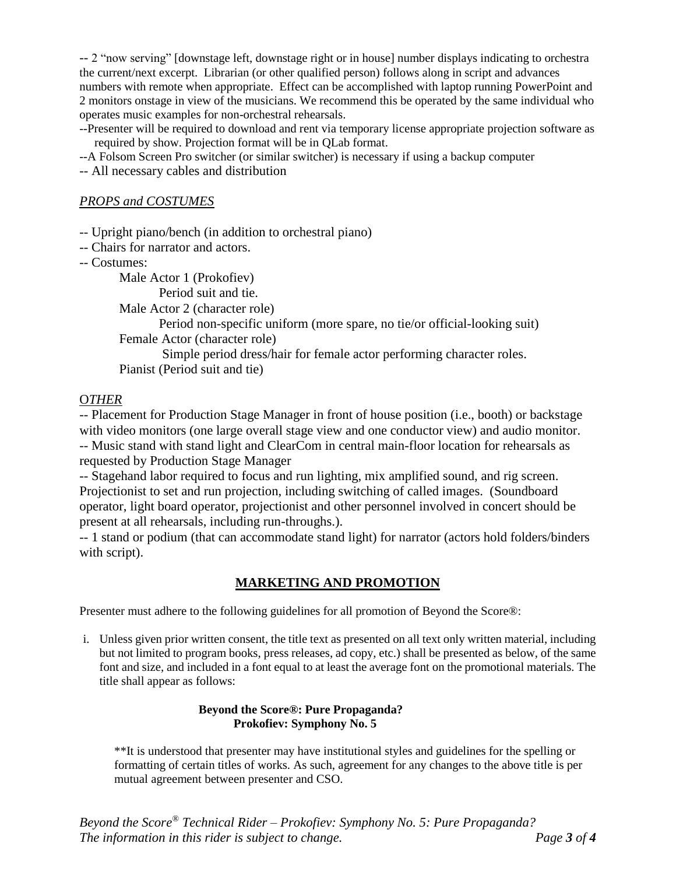-- 2 "now serving" [downstage left, downstage right or in house] number displays indicating to orchestra the current/next excerpt. Librarian (or other qualified person) follows along in script and advances numbers with remote when appropriate. Effect can be accomplished with laptop running PowerPoint and 2 monitors onstage in view of the musicians. We recommend this be operated by the same individual who operates music examples for non-orchestral rehearsals.

--Presenter will be required to download and rent via temporary license appropriate projection software as required by show. Projection format will be in QLab format.

--A Folsom Screen Pro switcher (or similar switcher) is necessary if using a backup computer

-- All necessary cables and distribution

#### *PROPS and COSTUMES*

-- Upright piano/bench (in addition to orchestral piano)

- -- Chairs for narrator and actors.
- -- Costumes:

Male Actor 1 (Prokofiev)

Period suit and tie.

Male Actor 2 (character role)

Period non-specific uniform (more spare, no tie/or official-looking suit) Female Actor (character role)

Simple period dress/hair for female actor performing character roles. Pianist (Period suit and tie)

#### O*THER*

-- Placement for Production Stage Manager in front of house position (i.e., booth) or backstage with video monitors (one large overall stage view and one conductor view) and audio monitor. -- Music stand with stand light and ClearCom in central main-floor location for rehearsals as requested by Production Stage Manager

-- Stagehand labor required to focus and run lighting, mix amplified sound, and rig screen. Projectionist to set and run projection, including switching of called images. (Soundboard operator, light board operator, projectionist and other personnel involved in concert should be present at all rehearsals, including run-throughs.).

-- 1 stand or podium (that can accommodate stand light) for narrator (actors hold folders/binders with script).

#### **MARKETING AND PROMOTION**

Presenter must adhere to the following guidelines for all promotion of Beyond the Score®:

i. Unless given prior written consent, the title text as presented on all text only written material, including but not limited to program books, press releases, ad copy, etc.) shall be presented as below, of the same font and size, and included in a font equal to at least the average font on the promotional materials. The title shall appear as follows:

#### **Beyond the Score®: Pure Propaganda? Prokofiev: Symphony No. 5**

\*\*It is understood that presenter may have institutional styles and guidelines for the spelling or formatting of certain titles of works. As such, agreement for any changes to the above title is per mutual agreement between presenter and CSO.